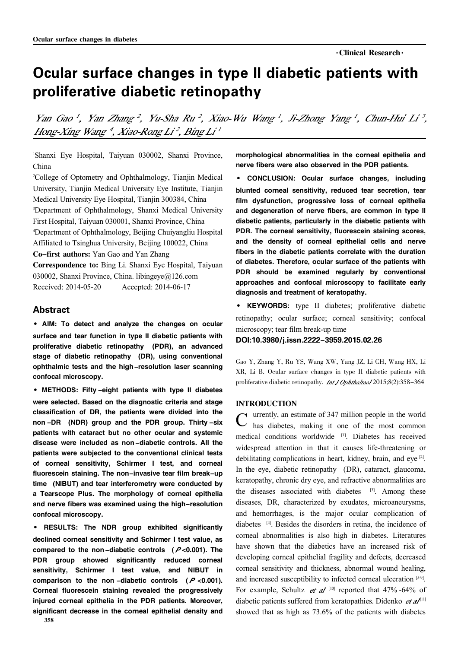# Ocular surface changes in type II diabetic patients with proliferative diabetic retinopathy

Yan Gao<sup>1</sup>, Yan Zhang<sup>2</sup>, Yu-Sha Ru<sup>2</sup>, Xiao-Wu Wang<sup>1</sup>, Ji-Zhong Yang<sup>1</sup>, Chun-Hui Li<sup>3</sup>, Hong-Xing Wang 4, Xiao-Rong Li<sup>2</sup>, Bing Li<sup>1</sup>

<sup>1</sup>Shanxi Eye Hospital, Taiyuan 030002, Shanxi Province, China

<sup>2</sup>College of Optometry and Ophthalmology, Tianjin Medical University, Tianjin Medical University Eye Institute, Tianjin Medical University Eye Hospital, Tianjin 300384, China <sup>3</sup>Department of Ophthalmology, Shanxi Medical University First Hospital, Taiyuan 030001, Shanxi Province, China <sup>4</sup>Department of Ophthalmology, Beijing Chuiyangliu Hospital Affiliated to Tsinghua University, Beijing 100022, China Co-first authors: Yan Gao and Yan Zhang Correspondence to: Bing Li. Shanxi Eye Hospital, Taiyuan 030002, Shanxi Province, China. libingeye@126.com

Received: 2014-05-20 Accepted: 2014-06-17

## Abstract

·AIM: To detect and analyze the changes on ocular surface and tear function in type II diabetic patients with proliferative diabetic retinopathy (PDR), an advanced stage of diabetic retinopathy (DR), using conventional ophthalmic tests and the high-resolution laser scanning confocal microscopy.

·METHODS: Fifty -eight patients with type II diabetes were selected. Based on the diagnostic criteria and stage classification of DR, the patients were divided into the non -DR (NDR) group and the PDR group. Thirty -six patients with cataract but no other ocular and systemic disease were included as non-diabetic controls. All the patients were subjected to the conventional clinical tests of corneal sensitivity, Schirmer I test, and corneal fluorescein staining. The non-invasive tear film break-up time (NIBUT) and tear interferometry were conducted by a Tearscope Plus. The morphology of corneal epithelia and nerve fibers was examined using the high-resolution confocal microscopy.

· RESULTS: The NDR group exhibited significantly declined corneal sensitivity and Schirmer I test value, as compared to the non-diabetic controls  $(P<0.001)$ . The PDR group showed significantly reduced corneal sensitivity, Schirmer I test value, and NIBUT in comparison to the non-diabetic controls  $(P < 0.001)$ . Corneal fluorescein staining revealed the progressively injured corneal epithelia in the PDR patients. Moreover, significant decrease in the corneal epithelial density and

morphological abnormalities in the corneal epithelia and nerve fibers were also observed in the PDR patients.

· CONCLUSION: Ocular surface changes, including blunted corneal sensitivity, reduced tear secretion, tear film dysfunction, progressive loss of corneal epithelia and degeneration of nerve fibers, are common in type II diabetic patients, particularly in the diabetic patients with PDR. The corneal sensitivity, fluorescein staining scores, and the density of corneal epithelial cells and nerve fibers in the diabetic patients correlate with the duration of diabetes. Therefore, ocular surface of the patients with PDR should be examined regularly by conventional approaches and confocal microscopy to facilitate early diagnosis and treatment of keratopathy.

· KEYWORDS: type II diabetes; proliferative diabetic retinopathy; ocular surface; corneal sensitivity; confocal microscopy; tear film break-up time

### DOI:10.3980/j.issn.2222-3959.2015.02.26

Gao Y, Zhang Y, Ru YS, Wang XW, Yang JZ, Li CH, Wang HX, Li XR, Li B. Ocular surface changes in type II diabetic patients with proliferative diabetic retinopathy. *Int J Ophthalmol* 2015;8(2):358-364

#### INTRODUCTION

C urrently, an estimate of 347 million people in the world<br>
C has diabetes, making it one of the most common urrently, an estimate of 347 million people in the world medical conditions worldwide [1]. Diabetes has received widespread attention in that it causes life-threatening or debilitating complications in heart, kidney, brain, and eye<sup>[2]</sup>. In the eye, diabetic retinopathy (DR), cataract, glaucoma, keratopathy, chronic dry eye, and refractive abnormalities are the diseases associated with diabetes  $[3]$ . Among these diseases, DR, characterized by exudates, microaneurysms, and hemorrhages, is the major ocular complication of diabetes [4] . Besides the disorders in retina, the incidence of corneal abnormalities is also high in diabetes. Literatures have shown that the diabetics have an increased risk of developing corneal epithelial fragility and defects, decreased corneal sensitivity and thickness, abnormal wound healing, and increased susceptibility to infected corneal ulceration [5-9]. For example, Schultz *et al*<sup>[10]</sup> reported that 47% -64% of diabetic patients suffered from keratopathies. Didenko  $et$   $aI<sup>[11]</sup>$ showed that as high as 73.6% of the patients with diabetes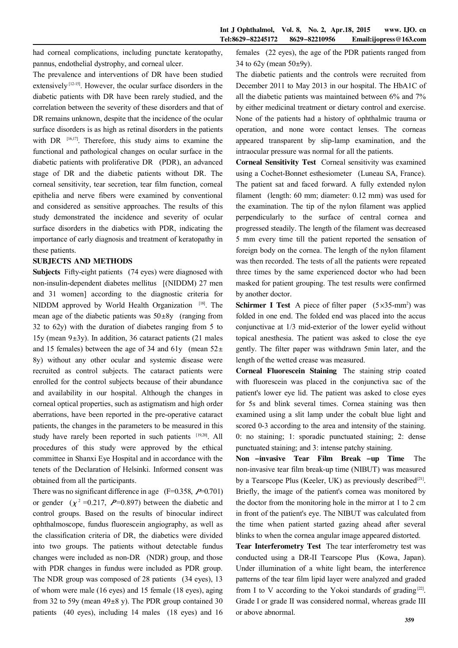had corneal complications, including punctate keratopathy, pannus, endothelial dystrophy, and corneal ulcer.

The prevalence and interventions of DR have been studied extensively  $[12-15]$ . However, the ocular surface disorders in the diabetic patients with DR have been rarely studied, and the correlation between the severity of these disorders and that of DR remains unknown, despite that the incidence of the ocular surface disorders is as high as retinal disorders in the patients with DR  $[16,17]$ . Therefore, this study aims to examine the functional and pathological changes on ocular surface in the diabetic patients with proliferative DR (PDR), an advanced stage of DR and the diabetic patients without DR. The corneal sensitivity, tear secretion, tear film function, corneal epithelia and nerve fibers were examined by conventional and considered as sensitive approaches. The results of this study demonstrated the incidence and severity of ocular surface disorders in the diabetics with PDR, indicating the importance of early diagnosis and treatment of keratopathy in these patients.

#### SUBJECTS AND METHODS

Subjects Fifty-eight patients (74 eyes) were diagnosed with non-insulin-dependent diabetes mellitus [(NIDDM) 27 men and 31 women] according to the diagnostic criteria for NIDDM approved by World Health Organization [18]. The mean age of the diabetic patients was  $50\pm8y$  (ranging from 32 to 62y) with the duration of diabetes ranging from 5 to  $15y$  (mean  $9\pm 3y$ ). In addition, 36 cataract patients (21 males and 15 females) between the age of 34 and 61y (mean  $52\pm$ 8y) without any other ocular and systemic disease were recruited as control subjects. The cataract patients were enrolled for the control subjects because of their abundance and availability in our hospital. Although the changes in corneal optical properties, such as astigmatism and high order aberrations, have been reported in the pre-operative cataract patients, the changes in the parameters to be measured in this study have rarely been reported in such patients [19,20]. All procedures of this study were approved by the ethical committee in Shanxi Eye Hospital and in accordance with the tenets of the Declaration of Helsinki. Informed consent was obtained from all the participants.

There was no significant difference in age  $(F=0.358, P=0.701)$ or gender  $(\chi^2 = 0.217, P = 0.897)$  between the diabetic and control groups. Based on the results of binocular indirect ophthalmoscope, fundus fluorescein angiography, as well as the classification criteria of DR, the diabetics were divided into two groups. The patients without detectable fundus changes were included as non-DR (NDR) group, and those with PDR changes in fundus were included as PDR group. The NDR group was composed of 28 patients (34 eyes), 13 of whom were male (16 eyes) and 15 female (18 eyes), aging from 32 to 59y (mean  $49\pm8$  y). The PDR group contained 30 patients (40 eyes), including 14 males (18 eyes) and 16

females (22 eyes), the age of the PDR patients ranged from 34 to  $62y$  (mean  $50±9y$ ).

The diabetic patients and the controls were recruited from December 2011 to May 2013 in our hospital. The HbA1C of all the diabetic patients was maintained between 6% and 7% by either medicinal treatment or dietary control and exercise. None of the patients had a history of ophthalmic trauma or operation, and none wore contact lenses. The corneas appeared transparent by slip-lamp examination, and the intraocular pressure was normal for all the patients.

Corneal Sensitivity Test Corneal sensitivity was examined using a Cochet-Bonnet esthesiometer (Luneau SA, France). The patient sat and faced forward. A fully extended nylon filament (length: 60 mm; diameter: 0.12 mm) was used for the examination. The tip of the nylon filament was applied perpendicularly to the surface of central cornea and progressed steadily. The length of the filament was decreased 5 mm every time till the patient reported the sensation of foreign body on the cornea. The length of the nylon filament was then recorded. The tests of all the patients were repeated three times by the same experienced doctor who had been masked for patient grouping. The test results were confirmed by another doctor.

**Schirmer I Test** A piece of filter paper  $(5 \times 35 - mm^2)$  was folded in one end. The folded end was placed into the accus conjunctivae at 1/3 mid-exterior of the lower eyelid without topical anesthesia. The patient was asked to close the eye gently. The filter paper was withdrawn 5min later, and the length of the wetted crease was measured.

Corneal Fluorescein Staining The staining strip coated with fluorescein was placed in the conjunctiva sac of the patient's lower eye lid. The patient was asked to close eyes for 5s and blink several times. Cornea staining was then examined using a slit lamp under the cobalt blue light and scored 0-3 according to the area and intensity of the staining. 0: no staining; 1: sporadic punctuated staining; 2: dense punctuated staining; and 3: intense patchy staining.

Non -invasive Tear Film Break -up Time The non-invasive tear film break-up time (NIBUT) was measured by a Tearscope Plus (Keeler, UK) as previously described<sup>[21]</sup>. Briefly, the image of the patient's cornea was monitored by the doctor from the monitoring hole in the mirror at 1 to 2 cm in front of the patient's eye. The NIBUT was calculated from the time when patient started gazing ahead after several blinks to when the cornea angular image appeared distorted.

Tear Interferometry Test The tear interferometry test was conducted using a DR-II Tearscope Plus (Kowa, Japan). Under illumination of a white light beam, the interference patterns of the tear film lipid layer were analyzed and graded from I to V according to the Yokoi standards of grading $[22]$ . Grade I or grade II was considered normal, whereas grade III or above abnormal.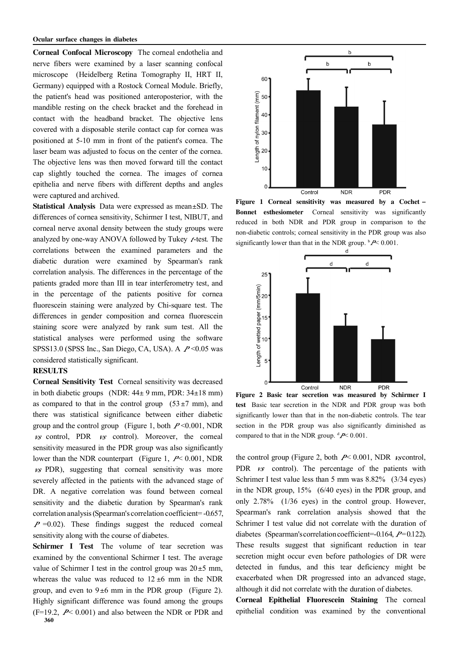Corneal Confocal Microscopy The corneal endothelia and nerve fibers were examined by a laser scanning confocal microscope (Heidelberg Retina Tomography II, HRT II, Germany) equipped with a Rostock Corneal Module. Briefly, the patient's head was positioned anteroposterior, with the mandible resting on the check bracket and the forehead in contact with the headband bracket. The objective lens covered with a disposable sterile contact cap for cornea was positioned at 5-10 mm in front of the patient's cornea. The laser beam was adjusted to focus on the center of the cornea. The objective lens was then moved forward till the contact cap slightly touched the cornea. The images of cornea epithelia and nerve fibers with different depths and angles were captured and archived.

Statistical Analysis Data were expressed as mean±SD. The differences of cornea sensitivity, Schirmer I test, NIBUT, and corneal nerve axonal density between the study groups were analyzed by one-way ANOVA followed by Tukey  $t$ -test. The correlations between the examined parameters and the diabetic duration were examined by Spearman's rank correlation analysis. The differences in the percentage of the patients graded more than III in tear interferometry test, and in the percentage of the patients positive for cornea fluorescein staining were analyzed by Chi-square test. The differences in gender composition and cornea fluorescein staining score were analyzed by rank sum test. All the statistical analyses were performed using the software SPSS13.0 (SPSS Inc., San Diego, CA, USA). A  $P < 0.05$  was considered statistically significant.

## **RESULTS**

Corneal Sensitivity Test Corneal sensitivity was decreased in both diabetic groups (NDR:  $44\pm 9$  mm, PDR:  $34\pm 18$  mm) as compared to that in the control group  $(53±7$  mm), and there was statistical significance between either diabetic group and the control group (Figure 1, both  $P \le 0.001$ , NDR  $\overline{v}$  control, PDR  $\overline{v}$  control). Moreover, the corneal sensitivity measured in the PDR group was also significantly lower than the NDR counterpart (Figure 1,  $P \le 0.001$ , NDR  $\sqrt{v}$  PDR), suggesting that corneal sensitivity was more severely affected in the patients with the advanced stage of DR. A negative correlation was found between corneal sensitivity and the diabetic duration by Spearman's rank correlation analysis(Spearman's correlation coefficient= -0.657,  $P = 0.02$ ). These findings suggest the reduced corneal sensitivity along with the course of diabetes.

Schirmer I Test The volume of tear secretion was examined by the conventional Schirmer I test. The average value of Schirmer I test in the control group was  $20 \pm 5$  mm, whereas the value was reduced to  $12 \pm 6$  mm in the NDR group, and even to  $9±6$  mm in the PDR group (Figure 2). Highly significant difference was found among the groups  $(F=19.2, P<0.001)$  and also between the NDR or PDR and



Figure 1 Corneal sensitivity was measured by a Cochet -Bonnet esthesiometer Corneal sensitivity was significantly reduced in both NDR and PDR group in comparison to the non-diabetic controls; corneal sensitivity in the PDR group was also significantly lower than that in the NDR group.  $\frac{b}{\epsilon}$  0.001.



Figure 2 Basic tear secretion was measured by Schirmer I test Basic tear secretion in the NDR and PDR group was both significantly lower than that in the non-diabetic controls. The tear section in the PDR group was also significantly diminished as compared to that in the NDR group.  ${}^{d}P$  < 0.001.

the control group (Figure 2, both  $P \le 0.001$ , NDR *vs* control, PDR  $\kappa$  control). The percentage of the patients with Schrimer I test value less than 5 mm was 8.82% (3/34 eyes) in the NDR group, 15% (6/40 eyes) in the PDR group, and only 2.78% (1/36 eyes) in the control group. However, Spearman's rank correlation analysis showed that the Schrimer I test value did not correlate with the duration of diabetes (Spearman's correlation coefficient=-0.164,  $P=0.122$ ). These results suggest that significant reduction in tear secretion might occur even before pathologies of DR were detected in fundus, and this tear deficiency might be exacerbated when DR progressed into an advanced stage, although it did not correlate with the duration of diabetes.

Corneal Epithelial Fluorescein Staining The corneal epithelial condition was examined by the conventional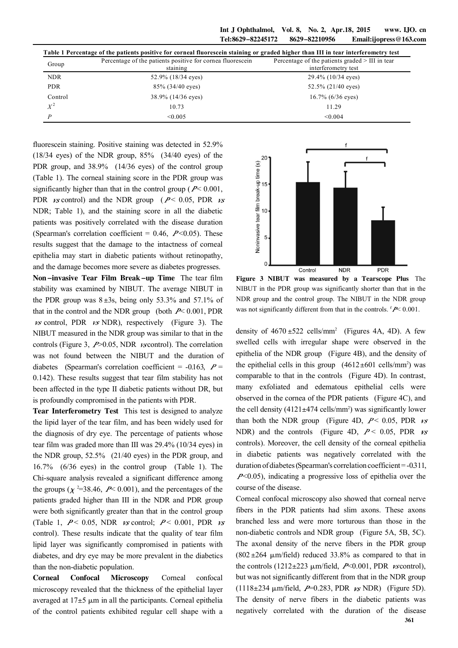Int J Ophthalmol, Vol. 8, No. 2, Apr.18, 2015 www. IJO. cn Tel:8629-82245172 8629-82210956 Email:ijopress@163.com

| Table 1 Percentage of the patients positive for corneal fluorescein staining or graded higher than III in tear interferometry test |                                                                        |                                                                          |
|------------------------------------------------------------------------------------------------------------------------------------|------------------------------------------------------------------------|--------------------------------------------------------------------------|
| Group                                                                                                                              | Percentage of the patients positive for cornea fluorescein<br>staining | Percentage of the patients graded $>$ III in tear<br>interferometry test |
| <b>NDR</b>                                                                                                                         | 52.9% (18/34 eyes)                                                     | 29.4% (10/34 eyes)                                                       |
| <b>PDR</b>                                                                                                                         | $85\%$ (34/40 eyes)                                                    | $52.5\%$ (21/40 eyes)                                                    |
| Control                                                                                                                            | 38.9% (14/36 eyes)                                                     | $16.7\%$ (6/36 eyes)                                                     |
| $X^2$                                                                                                                              | 10.73                                                                  | 11.29                                                                    |
| D                                                                                                                                  | < 0.005                                                                | < 0.004                                                                  |

fluorescein staining. Positive staining was detected in 52.9%  $(18/34 \text{ eyes})$  of the NDR group,  $85\%$   $(34/40 \text{ eyes})$  of the PDR group, and 38.9% (14/36 eyes) of the control group (Table 1). The corneal staining score in the PDR group was significantly higher than that in the control group ( $P < 0.001$ , PDR *vs* control) and the NDR group ( $P < 0.05$ , PDR *vs* NDR; Table 1), and the staining score in all the diabetic patients was positively correlated with the disease duration (Spearman's correlation coefficient =  $0.46$ ,  $P < 0.05$ ). These results suggest that the damage to the intactness of corneal epithelia may start in diabetic patients without retinopathy, and the damage becomes more severe as diabetes progresses. Non-invasive Tear Film Break-up Time The tear film stability was examined by NIBUT. The average NIBUT in the PDR group was  $8 \pm 3s$ , being only 53.3% and 57.1% of that in the control and the NDR group (both  $P \le 0.001$ , PDR  $\kappa s$  control, PDR  $\kappa s$  NDR), respectively (Figure 3). The

controls (Figure 3,  $P > 0.05$ , NDR *vs* control). The correlation was not found between the NIBUT and the duration of diabetes (Spearman's correlation coefficient =  $-0.163$ ,  $P =$ 0.142). These results suggest that tear film stability has not been affected in the type II diabetic patients without DR, but is profoundly compromised in the patients with PDR.

NIBUT measured in the NDR group was similar to that in the

Tear Interferometry Test This test is designed to analyze the lipid layer of the tear film, and has been widely used for the diagnosis of dry eye. The percentage of patients whose tear film was graded more than III was 29.4% (10/34 eyes) in the NDR group, 52.5% (21/40 eyes) in the PDR group, and 16.7% (6/36 eyes) in the control group (Table 1). The Chi-square analysis revealed a significant difference among the groups ( $\chi$ <sup>2</sup>=38.46, P < 0.001), and the percentages of the patients graded higher than III in the NDR and PDR group were both significantly greater than that in the control group (Table 1,  $P < 0.05$ , NDR *vs* control;  $P < 0.001$ , PDR *vs* control). These results indicate that the quality of tear film lipid layer was significantly compromised in patients with diabetes, and dry eye may be more prevalent in the diabetics than the non-diabetic population.

Corneal Confocal Microscopy Corneal confocal microscopy revealed that the thickness of the epithelial layer averaged at  $17±5 \mu m$  in all the participants. Corneal epithelia of the control patients exhibited regular cell shape with a



Figure 3 NIBUT was measured by a Tearscope Plus The NIBUT in the PDR group was significantly shorter than that in the NDR group and the control group. The NIBUT in the NDR group was not significantly different from that in the controls.  $f \sim 0.001$ .

density of  $4670 \pm 522$  cells/mm<sup>2</sup> (Figures 4A, 4D). A few swelled cells with irregular shape were observed in the epithelia of the NDR group (Figure 4B), and the density of the epithelial cells in this group  $(4612 \pm 601 \text{ cells/mm}^2)$  was comparable to that in the controls (Figure 4D). In contrast, many exfoliated and edematous epithelial cells were observed in the cornea of the PDR patients (Figure 4C), and the cell density  $(4121 \pm 474 \text{ cells/mm}^2)$  was significantly lower than both the NDR group (Figure 4D,  $P < 0.05$ , PDR  $\nu s$ ) NDR) and the controls (Figure 4D,  $P < 0.05$ , PDR  $\nu s$ controls). Moreover, the cell density of the corneal epithelia in diabetic patients was negatively correlated with the duration of diabetes (Spearman's correlation coefficient = -0.311,  $P<0.05$ ), indicating a progressive loss of epithelia over the course of the disease.

Corneal confocal microscopy also showed that corneal nerve fibers in the PDR patients had slim axons. These axons branched less and were more torturous than those in the non-diabetic controls and NDR group (Figure 5A, 5B, 5C). The axonal density of the nerve fibers in the PDR group  $(802 \pm 264 \mu m/\text{field})$  reduced 33.8% as compared to that in the controls (1212 $\pm$ 223  $\mu$ m/field, P<0.001, PDR *vs* control), but was not significantly different from that in the NDR group (1118 $\pm$ 234  $\mu$ m/field, P=0.283, PDR  $\kappa$ s NDR) (Figure 5D). The density of nerve fibers in the diabetic patients was negatively correlated with the duration of the disease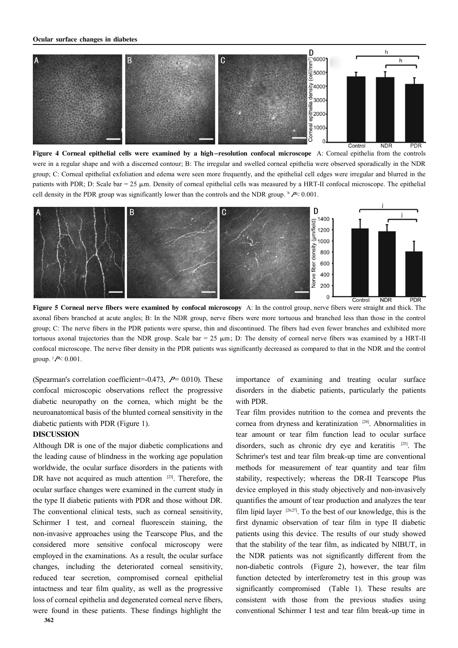

Figure 4 Corneal epithelial cells were examined by a high-resolution confocal microscope A: Corneal epithelia from the controls were in a regular shape and with a discerned contour; B: The irregular and swelled corneal epithelia were observed sporadically in the NDR group; C: Corneal epithelial exfoliation and edema were seen more frequently, and the epithelial cell edges were irregular and blurred in the patients with PDR; D: Scale bar =  $25 \mu m$ . Density of corneal epithelial cells was measured by a HRT-II confocal microscope. The epithelial cell density in the PDR group was significantly lower than the controls and the NDR group.  $h \rightarrow \infty 0.001$ .



Figure 5 Corneal nerve fibers were examined by confocal microscopy A: In the control group, nerve fibers were straight and thick. The axonal fibers branched at acute angles; B: In the NDR group, nerve fibers were more tortuous and branched less than those in the control group; C: The nerve fibers in the PDR patients were sparse, thin and discontinued. The fibers had even fewer branches and exhibited more tortuous axonal trajectories than the NDR group. Scale bar = 25  $\mu$ m; D: The density of corneal nerve fibers was examined by a HRT-II confocal microscope. The nerve fiber density in the PDR patients was significantly decreased as compared to that in the NDR and the control group.  $\dot{P}$  < 0.001.

(Spearman's correlation coefficient=-0.473,  $P = 0.010$ ). These confocal microscopic observations reflect the progressive diabetic neuropathy on the cornea, which might be the neuroanatomical basis of the blunted corneal sensitivity in the diabetic patients with PDR (Figure 1).

## DISCUSSION

Although DR is one of the major diabetic complications and the leading cause of blindness in the working age population worldwide, the ocular surface disorders in the patients with DR have not acquired as much attention  $[23]$ . Therefore, the ocular surface changes were examined in the current study in the type II diabetic patients with PDR and those without DR. The conventional clinical tests, such as corneal sensitivity, Schirmer I test, and corneal fluorescein staining, the non-invasive approaches using the Tearscope Plus, and the considered more sensitive confocal microscopy were employed in the examinations. As a result, the ocular surface changes, including the deteriorated corneal sensitivity, reduced tear secretion, compromised corneal epithelial intactness and tear film quality, as well as the progressive loss of corneal epithelia and degenerated corneal nerve fibers, were found in these patients. These findings highlight the

importance of examining and treating ocular surface disorders in the diabetic patients, particularly the patients with PDR.

Tear film provides nutrition to the cornea and prevents the cornea from dryness and keratinization <sup>[24]</sup>. Abnormalities in tear amount or tear film function lead to ocular surface disorders, such as chronic dry eye and keratitis [25]. The Schrimer's test and tear film break-up time are conventional methods for measurement of tear quantity and tear film stability, respectively; whereas the DR-II Tearscope Plus device employed in this study objectively and non-invasively quantifies the amount of tear production and analyzes the tear film lipid layer  $[26,27]$ . To the best of our knowledge, this is the first dynamic observation of tear film in type II diabetic patients using this device. The results of our study showed that the stability of the tear film, as indicated by NIBUT, in the NDR patients was not significantly different from the non-diabetic controls (Figure 2), however, the tear film function detected by interferometry test in this group was significantly compromised (Table 1). These results are consistent with those from the previous studies using conventional Schirmer I test and tear film break-up time in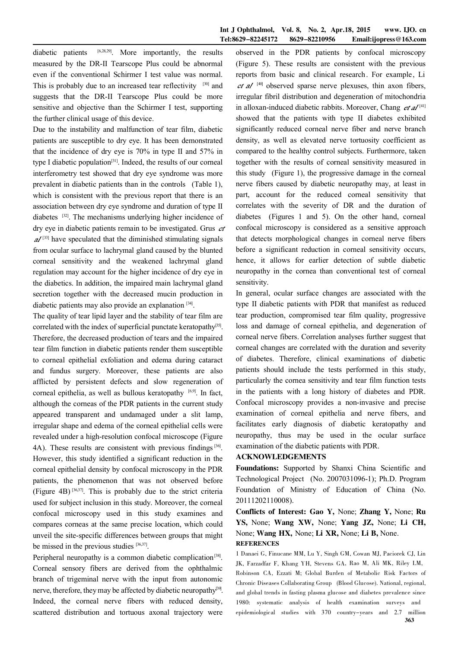diabetic patients [6,28,29]. More importantly, the results measured by the DR-II Tearscope Plus could be abnormal even if the conventional Schirmer I test value was normal. This is probably due to an increased tear reflectivity  $[30]$  and suggests that the DR-II Tearscope Plus could be more sensitive and objective than the Schirmer I test, supporting the further clinical usage of this device.

Due to the instability and malfunction of tear film, diabetic patients are susceptible to dry eye. It has been demonstrated that the incidence of dry eye is 70% in type II and 57% in type I diabetic population<sup>[31]</sup>. Indeed, the results of our corneal interferometry test showed that dry eye syndrome was more prevalent in diabetic patients than in the controls (Table 1), which is consistent with the previous report that there is an association between dry eye syndrome and duration of type II diabetes <sup>[32]</sup>. The mechanisms underlying higher incidence of dry eye in diabetic patients remain to be investigated. Grus et  $a^{133}$  have speculated that the diminished stimulating signals from ocular surface to lachrymal gland caused by the blunted corneal sensitivity and the weakened lachrymal gland regulation may account for the higher incidence of dry eye in the diabetics. In addition, the impaired main lachrymal gland secretion together with the decreased mucin production in diabetic patients may also provide an explanation [34] .

The quality of tear lipid layer and the stability of tear film are correlated with the index of superficial punctate keratopathy<sup>[35]</sup>. Therefore, the decreased production of tears and the impaired tear film function in diabetic patients render them susceptible to corneal epithelial exfoliation and edema during cataract and fundus surgery. Moreover, these patients are also afflicted by persistent defects and slow regeneration of corneal epithelia, as well as bullous keratopathy [6,9]. In fact, although the corneas of the PDR patients in the current study appeared transparent and undamaged under a slit lamp, irregular shape and edema of the corneal epithelial cells were revealed under a high-resolution confocal microscope (Figure  $4A$ ). These results are consistent with previous findings<sup>[36]</sup>. However, this study identified a significant reduction in the corneal epithelial density by confocal microscopy in the PDR patients, the phenomenon that was not observed before (Figure 4B)  $^{[36,37]}$ . This is probably due to the strict criteria used for subject inclusion in this study. Moreover, the corneal confocal microscopy used in this study examines and compares corneas at the same precise location, which could unveil the site-specific differences between groups that might be missed in the previous studies [36,37].

Peripheral neuropathy is a common diabetic complication<sup>[38]</sup>. Corneal sensory fibers are derived from the ophthalmic branch of trigeminal nerve with the input from autonomic nerve, therefore, they may be affected by diabetic neuropathy<sup>[39]</sup>. Indeed, the corneal nerve fibers with reduced density, scattered distribution and tortuous axonal trajectory were

observed in the PDR patients by confocal microscopy (Figure 5). These results are consistent with the previous reports from basic and clinical research. For example, Li  $et \, al$ <sup>[40]</sup> observed sparse nerve plexuses, thin axon fibers, irregular fibril distribution and degeneration of mitochondria in alloxan-induced diabetic rabbits. Moreover, Chang  $et \, al^{[41]}$ showed that the patients with type II diabetes exhibited significantly reduced corneal nerve fiber and nerve branch density, as well as elevated nerve tortuosity coefficient as compared to the healthy control subjects. Furthermore, taken together with the results of corneal sensitivity measured in this study (Figure 1), the progressive damage in the corneal nerve fibers caused by diabetic neuropathy may, at least in part, account for the reduced corneal sensitivity that correlates with the severity of DR and the duration of diabetes (Figures 1 and 5). On the other hand, corneal confocal microscopy is considered as a sensitive approach that detects morphological changes in corneal nerve fibers before a significant reduction in corneal sensitivity occurs, hence, it allows for earlier detection of subtle diabetic neuropathy in the cornea than conventional test of corneal sensitivity.

In general, ocular surface changes are associated with the type II diabetic patients with PDR that manifest as reduced tear production, compromised tear film quality, progressive loss and damage of corneal epithelia, and degeneration of corneal nerve fibers. Correlation analyses further suggest that corneal changes are correlated with the duration and severity of diabetes. Therefore, clinical examinations of diabetic patients should include the tests performed in this study, particularly the cornea sensitivity and tear film function tests in the patients with a long history of diabetes and PDR. Confocal microscopy provides a non-invasive and precise examination of corneal epithelia and nerve fibers, and facilitates early diagnosis of diabetic keratopathy and neuropathy, thus may be used in the ocular surface examination of the diabetic patients with PDR.

#### ACKNOWLEDGEMENTS

Foundations: Supported by Shanxi China Scientific and Technological Project (No. 2007031096-1); Ph.D. Program Foundation of Ministry of Education of China (No. 20111202110008).

Conflicts of Interest: Gao Y, None; Zhang Y, None; Ru YS, None; Wang XW, None; Yang JZ, None; Li CH, None; Wang HX, None; Li XR, None; Li B, None. **REFERENCES** 

1 Danaei G, Finucane MM, Lu Y, Singh GM, Cowan MJ, Paciorek CJ, Lin JK, Farzadfar F, Khang YH, Stevens GA, Rao M, Ali MK, Riley LM, Robinson CA, Ezzati M; Global Burden of Metabolic Risk Factors of Chronic Diseases Collaborating Group (Blood Glucose). National, regional, and global trends in fasting plasma glucose and diabetes prevalence since 1980: systematic analysis of health examination surveys and epidemiological studies with 370 country-years and 2.7 million